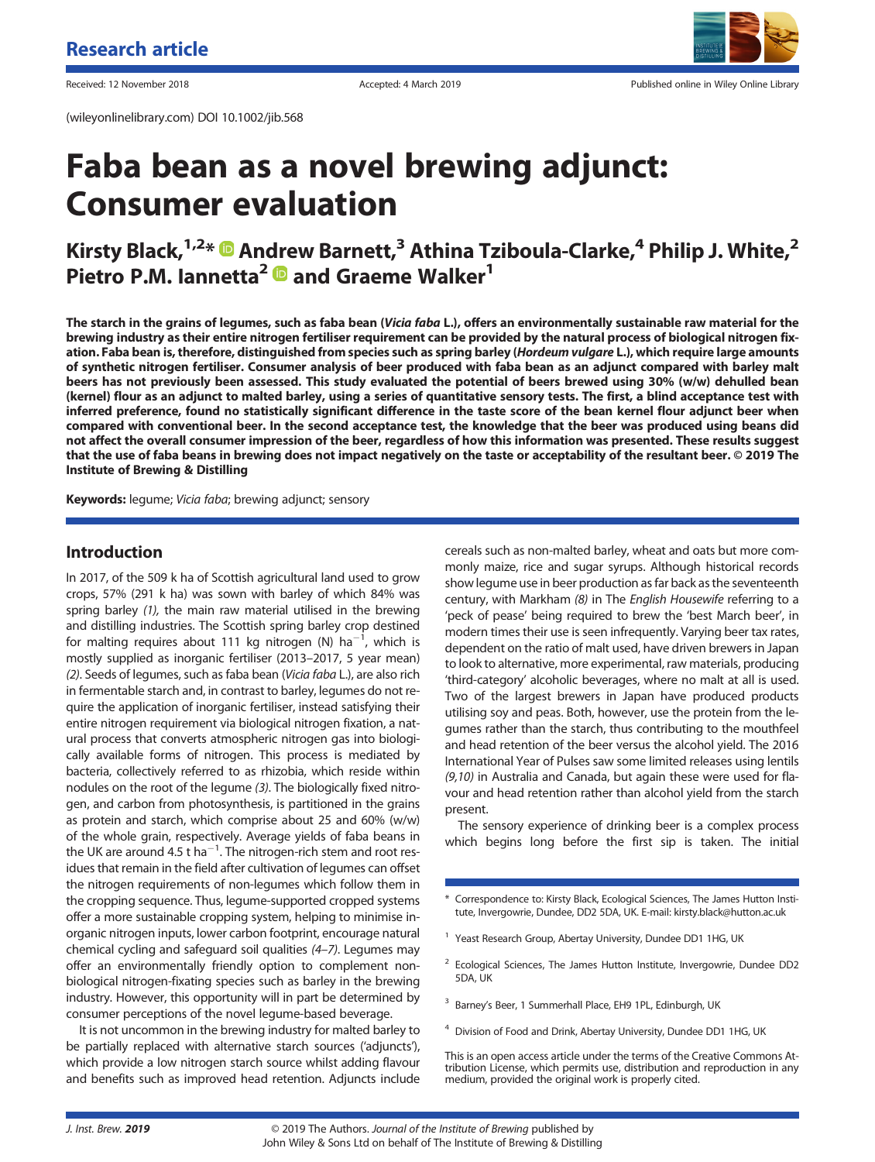(wileyonlinelibrary.com) DOI 10.1002/jib.568



Received: 12 November 2018 **Accepted: 4 March 2019** Accepted: 4 March 2019 Published online in Wiley Online Library

# **Faba bean as a novel brewing adjunct: Consumer evaluation**

# **Kirsty Black,**<sup>1,2\*</sup>  $\bullet$  Andrew Barnett,<sup>3</sup> Athina Tziboula-Clarke,<sup>4</sup> Philip J. White,<sup>2</sup> **Pietro P.M. Iannetta2 and Graeme Walker1**

**The starch in the grains of legumes, such as faba bean (***Vicia faba* **L.), offers an environmentally sustainable raw material for the brewing industry as their entire nitrogen fertiliser requirement can be provided by the natural process of biological nitrogen fixation. Faba bean is, therefore, distinguished from species such as spring barley (***Hordeum vulgare* **L.), which require large amounts of synthetic nitrogen fertiliser. Consumer analysis of beer produced with faba bean as an adjunct compared with barley malt beers has not previously been assessed. This study evaluated the potential of beers brewed using 30% (w/w) dehulled bean (kernel) flour as an adjunct to malted barley, using a series of quantitative sensory tests. The first, a blind acceptance test with inferred preference, found no statistically significant difference in the taste score of the bean kernel flour adjunct beer when compared with conventional beer. In the second acceptance test, the knowledge that the beer was produced using beans did not affect the overall consumer impression of the beer, regardless of how this information was presented. These results suggest that the use of faba beans in brewing does not impact negatively on the taste or acceptability of the resultant beer. © 2019 The Institute of Brewing & Distilling**

**Keywords:** legume; *Vicia faba*; brewing adjunct; sensory

## **Introduction**

In 2017, of the 509 k ha of Scottish agricultural land used to grow crops, 57% (291 k ha) was sown with barley of which 84% was spring barley *(1),* the main raw material utilised in the brewing and distilling industries. The Scottish spring barley crop destined for malting requires about 111 kg nitrogen (N)  $ha^{-1}$ , which is mostly supplied as inorganic fertiliser (2013–2017, 5 year mean) *(2)*. Seeds of legumes, such as faba bean (*Vicia faba* L.), are also rich in fermentable starch and, in contrast to barley, legumes do not require the application of inorganic fertiliser, instead satisfying their entire nitrogen requirement via biological nitrogen fixation, a natural process that converts atmospheric nitrogen gas into biologically available forms of nitrogen. This process is mediated by bacteria, collectively referred to as rhizobia, which reside within nodules on the root of the legume *(3)*. The biologically fixed nitrogen, and carbon from photosynthesis, is partitioned in the grains as protein and starch, which comprise about 25 and 60% (w/w) of the whole grain, respectively. Average yields of faba beans in the UK are around 4.5  $t$  ha<sup>-1</sup>. The nitrogen-rich stem and root residues that remain in the field after cultivation of legumes can offset the nitrogen requirements of non-legumes which follow them in the cropping sequence. Thus, legume-supported cropped systems offer a more sustainable cropping system, helping to minimise inorganic nitrogen inputs, lower carbon footprint, encourage natural chemical cycling and safeguard soil qualities *(4–7)*. Legumes may offer an environmentally friendly option to complement nonbiological nitrogen-fixating species such as barley in the brewing industry. However, this opportunity will in part be determined by consumer perceptions of the novel legume-based beverage.

It is not uncommon in the brewing industry for malted barley to be partially replaced with alternative starch sources ('adjuncts'), which provide a low nitrogen starch source whilst adding flavour and benefits such as improved head retention. Adjuncts include

cereals such as non-malted barley, wheat and oats but more commonly maize, rice and sugar syrups. Although historical records show legume use in beer production as far back as the seventeenth century, with Markham *(8)* in The *English Housewife* referring to a 'peck of pease' being required to brew the 'best March beer', in modern times their use is seen infrequently. Varying beer tax rates, dependent on the ratio of malt used, have driven brewers in Japan to look to alternative, more experimental, raw materials, producing 'third-category' alcoholic beverages, where no malt at all is used. Two of the largest brewers in Japan have produced products utilising soy and peas. Both, however, use the protein from the legumes rather than the starch, thus contributing to the mouthfeel and head retention of the beer versus the alcohol yield. The 2016 International Year of Pulses saw some limited releases using lentils *(9,10)* in Australia and Canada, but again these were used for flavour and head retention rather than alcohol yield from the starch present.

The sensory experience of drinking beer is a complex process which begins long before the first sip is taken. The initial

- \* Correspondence to: Kirsty Black, Ecological Sciences, The James Hutton Institute, Invergowrie, Dundee, DD2 5DA, UK. E-mail: kirsty.black@hutton.ac.uk
- <sup>1</sup> Yeast Research Group, Abertay University, Dundee DD1 1HG, UK
- <sup>2</sup> Ecological Sciences, The James Hutton Institute, Invergowrie, Dundee DD2 5DA, UK
- Barney's Beer, 1 Summerhall Place, EH9 1PL, Edinburgh, UK
- <sup>4</sup> Division of Food and Drink, Abertay University, Dundee DD1 1HG, UK

This is an open access article under the terms of the [Creative Commons At](http://creativecommons.org/licenses/by/4.0/)[tribution](http://creativecommons.org/licenses/by/4.0/) License, which permits use, distribution and reproduction in any medium, provided the original work is properly cited.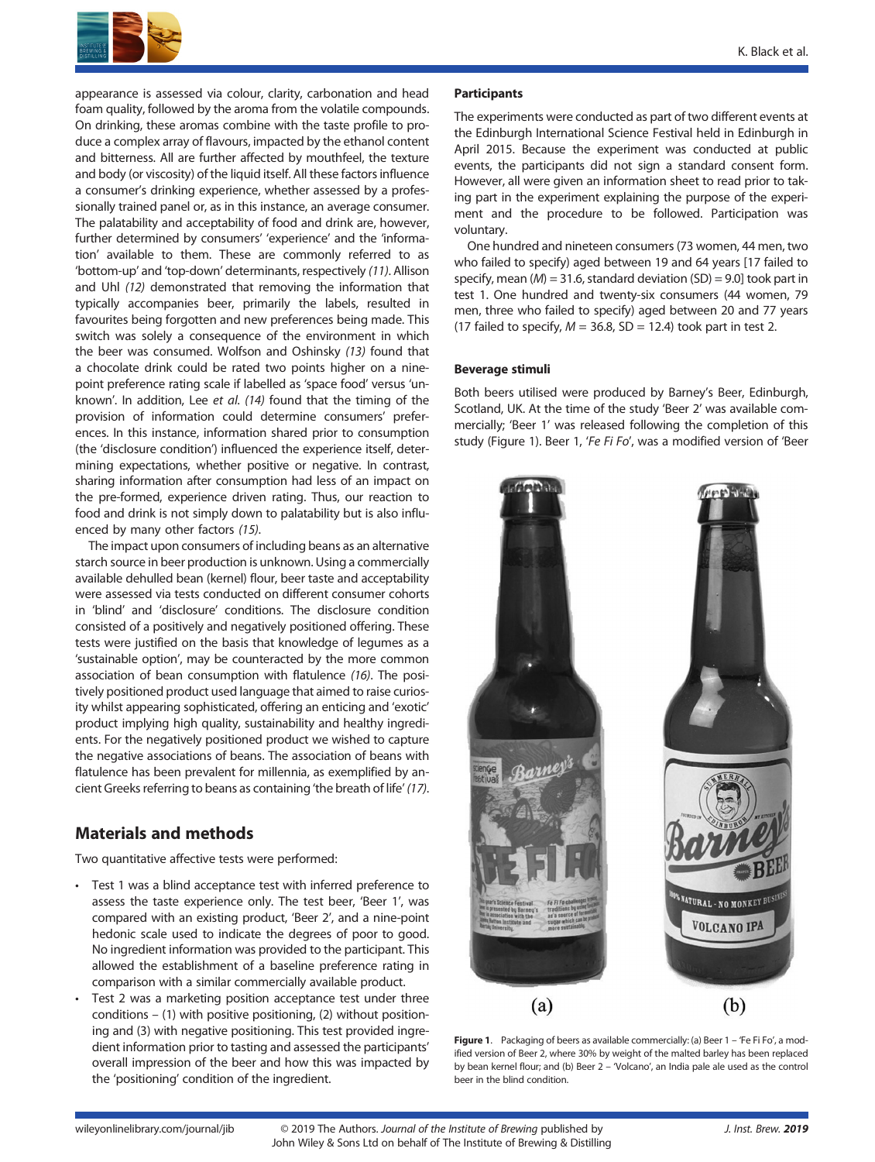

appearance is assessed via colour, clarity, carbonation and head foam quality, followed by the aroma from the volatile compounds. On drinking, these aromas combine with the taste profile to produce a complex array of flavours, impacted by the ethanol content and bitterness. All are further affected by mouthfeel, the texture and body (or viscosity) of the liquid itself. All these factors influence a consumer's drinking experience, whether assessed by a professionally trained panel or, as in this instance, an average consumer. The palatability and acceptability of food and drink are, however, further determined by consumers' 'experience' and the 'information' available to them. These are commonly referred to as 'bottom-up' and 'top-down' determinants, respectively *(11)*. Allison and Uhl *(12)* demonstrated that removing the information that typically accompanies beer, primarily the labels, resulted in favourites being forgotten and new preferences being made. This switch was solely a consequence of the environment in which the beer was consumed. Wolfson and Oshinsky *(13)* found that a chocolate drink could be rated two points higher on a ninepoint preference rating scale if labelled as 'space food' versus 'unknown'. In addition, Lee *et al*. *(14)* found that the timing of the provision of information could determine consumers' preferences. In this instance, information shared prior to consumption (the 'disclosure condition') influenced the experience itself, determining expectations, whether positive or negative. In contrast, sharing information after consumption had less of an impact on the pre-formed, experience driven rating. Thus, our reaction to food and drink is not simply down to palatability but is also influenced by many other factors *(15)*.

The impact upon consumers of including beans as an alternative starch source in beer production is unknown. Using a commercially available dehulled bean (kernel) flour, beer taste and acceptability were assessed via tests conducted on different consumer cohorts in 'blind' and 'disclosure' conditions. The disclosure condition consisted of a positively and negatively positioned offering. These tests were justified on the basis that knowledge of legumes as a 'sustainable option', may be counteracted by the more common association of bean consumption with flatulence *(16)*. The positively positioned product used language that aimed to raise curiosity whilst appearing sophisticated, offering an enticing and 'exotic' product implying high quality, sustainability and healthy ingredients. For the negatively positioned product we wished to capture the negative associations of beans. The association of beans with flatulence has been prevalent for millennia, as exemplified by ancient Greeks referring to beans as containing 'the breath of life' *(17)*.

# **Materials and methods**

Two quantitative affective tests were performed:

- Test 1 was a blind acceptance test with inferred preference to assess the taste experience only. The test beer, 'Beer 1', was compared with an existing product, 'Beer 2', and a nine-point hedonic scale used to indicate the degrees of poor to good. No ingredient information was provided to the participant. This allowed the establishment of a baseline preference rating in comparison with a similar commercially available product.
- Test 2 was a marketing position acceptance test under three conditions – (1) with positive positioning, (2) without positioning and (3) with negative positioning. This test provided ingredient information prior to tasting and assessed the participants' overall impression of the beer and how this was impacted by the 'positioning' condition of the ingredient.

#### **Participants**

The experiments were conducted as part of two different events at the Edinburgh International Science Festival held in Edinburgh in April 2015. Because the experiment was conducted at public events, the participants did not sign a standard consent form. However, all were given an information sheet to read prior to taking part in the experiment explaining the purpose of the experiment and the procedure to be followed. Participation was voluntary.

One hundred and nineteen consumers (73 women, 44 men, two who failed to specify) aged between 19 and 64 years [17 failed to specify, mean (*M*) = 31.6, standard deviation (SD) = 9.0] took part in test 1. One hundred and twenty-six consumers (44 women, 79 men, three who failed to specify) aged between 20 and 77 years (17 failed to specify,  $M = 36.8$ , SD = 12.4) took part in test 2.

#### **Beverage stimuli**

Both beers utilised were produced by Barney's Beer, Edinburgh, Scotland, UK. At the time of the study 'Beer 2' was available commercially; 'Beer 1' was released following the completion of this study (Figure 1). Beer 1, '*Fe Fi Fo*', was a modified version of 'Beer



Figure 1. Packaging of beers as available commercially: (a) Beer 1 - 'Fe Fi Fo', a modified version of Beer 2, where 30% by weight of the malted barley has been replaced by bean kernel flour; and (b) Beer 2 – 'Volcano', an India pale ale used as the control beer in the blind condition.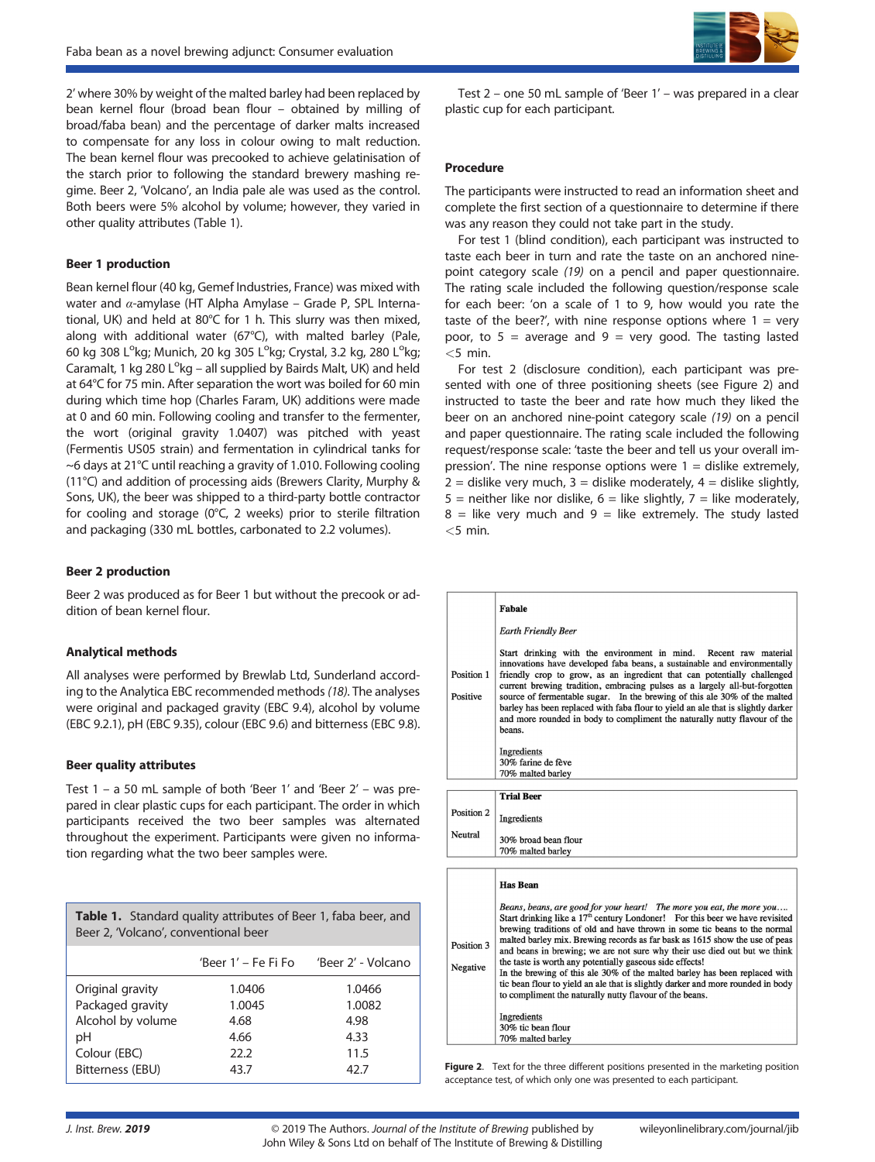2' where 30% by weight of the malted barley had been replaced by bean kernel flour (broad bean flour – obtained by milling of broad/faba bean) and the percentage of darker malts increased to compensate for any loss in colour owing to malt reduction. The bean kernel flour was precooked to achieve gelatinisation of the starch prior to following the standard brewery mashing regime. Beer 2, 'Volcano', an India pale ale was used as the control. Both beers were 5% alcohol by volume; however, they varied in other quality attributes (Table 1).

#### **Beer 1 production**

Bean kernel flour (40 kg, Gemef Industries, France) was mixed with water and *α*-amylase (HT Alpha Amylase – Grade P, SPL International, UK) and held at 80°C for 1 h. This slurry was then mixed, along with additional water (67°C), with malted barley (Pale, 60 kg 308 L°kg; Munich, 20 kg 305 L°kg; Crystal, 3.2 kg, 280 L°kg; Caramalt, 1 kg  $280 L<sup>o</sup>$ kg – all supplied by Bairds Malt, UK) and held at 64°C for 75 min. After separation the wort was boiled for 60 min during which time hop (Charles Faram, UK) additions were made at 0 and 60 min. Following cooling and transfer to the fermenter, the wort (original gravity 1.0407) was pitched with yeast (Fermentis US05 strain) and fermentation in cylindrical tanks for ~6 days at 21°C until reaching a gravity of 1.010. Following cooling (11°C) and addition of processing aids (Brewers Clarity, Murphy & Sons, UK), the beer was shipped to a third-party bottle contractor for cooling and storage (0°C, 2 weeks) prior to sterile filtration and packaging (330 mL bottles, carbonated to 2.2 volumes).

#### **Beer 2 production**

Beer 2 was produced as for Beer 1 but without the precook or addition of bean kernel flour.

#### **Analytical methods**

All analyses were performed by Brewlab Ltd, Sunderland according to the Analytica EBC recommended methods*(18)*. The analyses were original and packaged gravity (EBC 9.4), alcohol by volume (EBC 9.2.1), pH (EBC 9.35), colour (EBC 9.6) and bitterness (EBC 9.8).

#### **Beer quality attributes**

Test 1 – a 50 mL sample of both 'Beer 1' and 'Beer 2' – was prepared in clear plastic cups for each participant. The order in which participants received the two beer samples was alternated throughout the experiment. Participants were given no information regarding what the two beer samples were.

| <b>Table 1.</b> Standard quality attributes of Beer 1, faba beer, and<br>Beer 2, 'Volcano', conventional beer |                     |                    |
|---------------------------------------------------------------------------------------------------------------|---------------------|--------------------|
|                                                                                                               | 'Beer 1' – Fe Fi Fo | 'Beer 2' - Volcano |
| Original gravity                                                                                              | 1.0406              | 1.0466             |
| Packaged gravity                                                                                              | 1.0045              | 1.0082             |
| Alcohol by volume                                                                                             | 4.68                | 4.98               |
| рH                                                                                                            | 4.66                | 4.33               |
| Colour (EBC)                                                                                                  | 22.2                | 11.5               |
| Bitterness (EBU)                                                                                              | 43.7                | 42.7               |



Test 2 – one 50 mL sample of 'Beer 1' – was prepared in a clear plastic cup for each participant.

#### **Procedure**

The participants were instructed to read an information sheet and complete the first section of a questionnaire to determine if there was any reason they could not take part in the study.

For test 1 (blind condition), each participant was instructed to taste each beer in turn and rate the taste on an anchored ninepoint category scale *(19)* on a pencil and paper questionnaire. The rating scale included the following question/response scale for each beer: 'on a scale of 1 to 9, how would you rate the taste of the beer?', with nine response options where  $1 = \text{very}$ poor, to  $5 =$  average and  $9 =$  very good. The tasting lasted *<*5 min.

For test 2 (disclosure condition), each participant was presented with one of three positioning sheets (see Figure 2) and instructed to taste the beer and rate how much they liked the beer on an anchored nine-point category scale *(19)* on a pencil and paper questionnaire. The rating scale included the following request/response scale: 'taste the beer and tell us your overall impression'. The nine response options were  $1 =$  dislike extremely,  $2 =$  dislike very much,  $3 =$  dislike moderately,  $4 =$  dislike slightly,  $5$  = neither like nor dislike,  $6$  = like slightly,  $7$  = like moderately,  $8$  = like very much and  $9$  = like extremely. The study lasted *<*5 min.

|                        | <b>Fabale</b>                                                                                                                                                                                                                                                                                                                                                                                                                                                                                                                                                 |
|------------------------|---------------------------------------------------------------------------------------------------------------------------------------------------------------------------------------------------------------------------------------------------------------------------------------------------------------------------------------------------------------------------------------------------------------------------------------------------------------------------------------------------------------------------------------------------------------|
|                        | <b>Earth Friendly Beer</b>                                                                                                                                                                                                                                                                                                                                                                                                                                                                                                                                    |
| Position 1<br>Positive | Start drinking with the environment in mind. Recent raw material<br>innovations have developed faba beans, a sustainable and environmentally<br>friendly crop to grow, as an ingredient that can potentially challenged<br>current brewing tradition, embracing pulses as a largely all-but-forgotten<br>source of fermentable sugar. In the brewing of this ale 30% of the malted<br>barley has been replaced with faba flour to yield an ale that is slightly darker<br>and more rounded in body to compliment the naturally nutty flavour of the<br>beans. |
|                        | Ingredients                                                                                                                                                                                                                                                                                                                                                                                                                                                                                                                                                   |
|                        | 30% farine de fève                                                                                                                                                                                                                                                                                                                                                                                                                                                                                                                                            |
|                        | 70% malted barley                                                                                                                                                                                                                                                                                                                                                                                                                                                                                                                                             |
|                        |                                                                                                                                                                                                                                                                                                                                                                                                                                                                                                                                                               |
|                        | <b>Trial Beer</b>                                                                                                                                                                                                                                                                                                                                                                                                                                                                                                                                             |
| Position 2             | Ingredients                                                                                                                                                                                                                                                                                                                                                                                                                                                                                                                                                   |
| Neutral                |                                                                                                                                                                                                                                                                                                                                                                                                                                                                                                                                                               |
|                        | 30% broad bean flour<br>70% malted barley                                                                                                                                                                                                                                                                                                                                                                                                                                                                                                                     |
|                        |                                                                                                                                                                                                                                                                                                                                                                                                                                                                                                                                                               |
|                        | <b>Has Bean</b>                                                                                                                                                                                                                                                                                                                                                                                                                                                                                                                                               |
|                        | Beans, beans, are good for your heart! The more you eat, the more you<br>Start drinking like a $17th$ century Londoner! For this beer we have revisited                                                                                                                                                                                                                                                                                                                                                                                                       |

|            | brewing traditions of old and have thrown in some tic beans to the normal                                                                                |  |
|------------|----------------------------------------------------------------------------------------------------------------------------------------------------------|--|
| Position 3 | malted barley mix. Brewing records as far bask as 1615 show the use of peas<br>and beans in brewing; we are not sure why their use died out but we think |  |
| Negative   | the taste is worth any potentially gaseous side effects!                                                                                                 |  |
|            | In the brewing of this ale 30% of the malted barley has been replaced with                                                                               |  |
|            | tic bean flour to yield an ale that is slightly darker and more rounded in body                                                                          |  |
|            | to compliment the naturally nutty flavour of the beans.                                                                                                  |  |
|            |                                                                                                                                                          |  |
|            | Ingredients                                                                                                                                              |  |
|            | 30% tic bean flour                                                                                                                                       |  |
|            | 70% malted barley                                                                                                                                        |  |

Figure 2. Text for the three different positions presented in the marketing position acceptance test, of which only one was presented to each participant.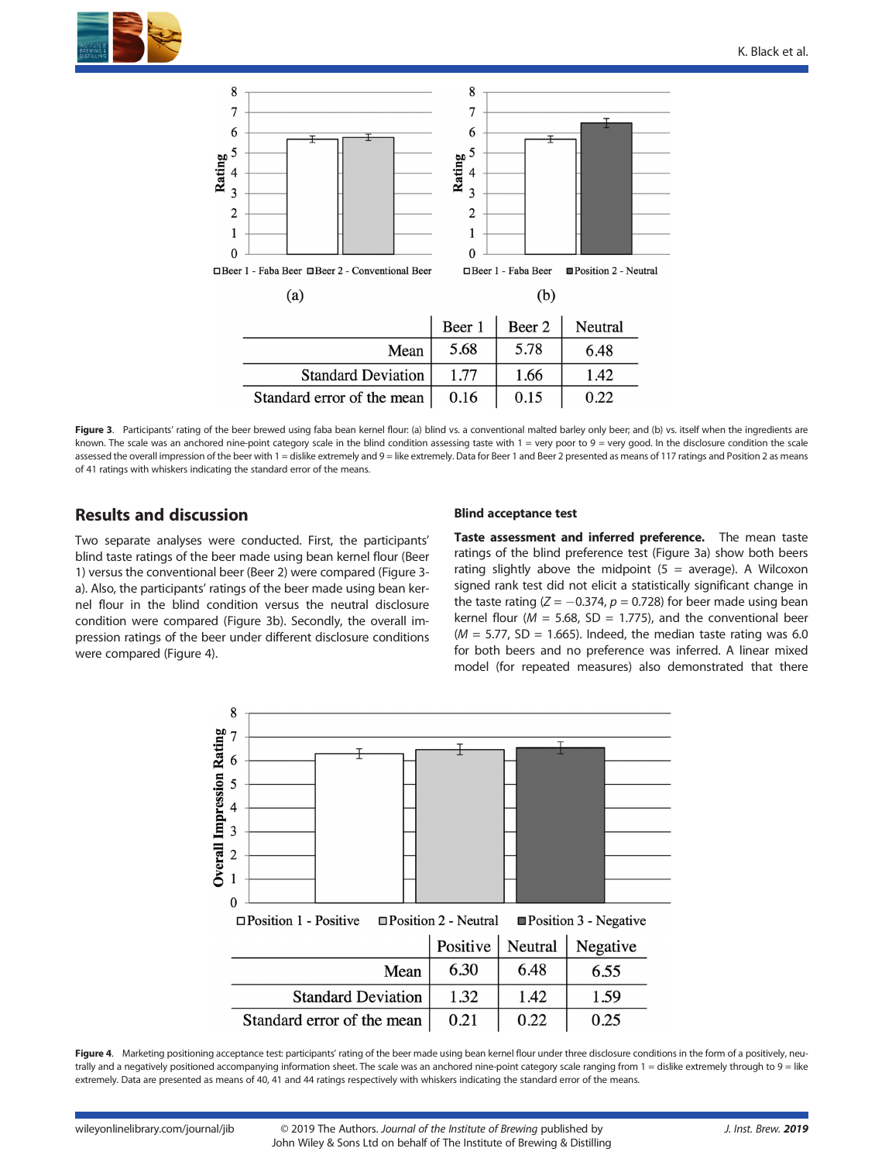



Figure 3. Participants' rating of the beer brewed using faba bean kernel flour: (a) blind vs. a conventional malted barley only beer; and (b) vs. itself when the ingredients are known. The scale was an anchored nine-point category scale in the blind condition assessing taste with 1 = very poor to 9 = very good. In the disclosure condition the scale assessed the overall impression of the beer with 1 = dislike extremely and 9 = like extremely. Data for Beer 1 and Beer 2 presented as means of 117 ratings and Position 2 as means of 41 ratings with whiskers indicating the standard error of the means.

# **Results and discussion**

Two separate analyses were conducted. First, the participants' blind taste ratings of the beer made using bean kernel flour (Beer 1) versus the conventional beer (Beer 2) were compared (Figure 3 a). Also, the participants' ratings of the beer made using bean kernel flour in the blind condition versus the neutral disclosure condition were compared (Figure 3b). Secondly, the overall impression ratings of the beer under different disclosure conditions were compared (Figure 4).

#### **Blind acceptance test**

**Taste assessment and inferred preference.** The mean taste ratings of the blind preference test (Figure 3a) show both beers rating slightly above the midpoint  $(5 = average)$ . A Wilcoxon signed rank test did not elicit a statistically significant change in the taste rating  $(Z = -0.374, p = 0.728)$  for beer made using bean kernel flour ( $M = 5.68$ , SD = 1.775), and the conventional beer  $(M = 5.77, SD = 1.665)$ . Indeed, the median taste rating was 6.0 for both beers and no preference was inferred. A linear mixed model (for repeated measures) also demonstrated that there



Figure 4. Marketing positioning acceptance test: participants' rating of the beer made using bean kernel flour under three disclosure conditions in the form of a positively, neutrally and a negatively positioned accompanying information sheet. The scale was an anchored nine-point category scale ranging from 1 = dislike extremely through to 9 = like extremely. Data are presented as means of 40, 41 and 44 ratings respectively with whiskers indicating the standard error of the means.